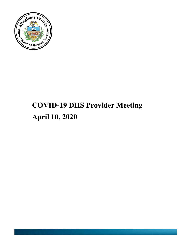

# **COVID-19 DHS Provider Meeting April 10, 2020**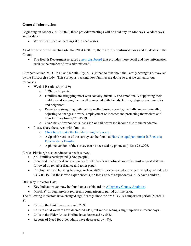# **General Information**

Beginning on Monday, 4-13-2020, these provider meetings will be held ony on Mondays, Wednesdays and Fridays.

• We will call special meetings if the need arises.

As of the time of this meeting (4-10-2020 at 4:30 pm) there are 788 confirmed cases and 18 deaths in the County.

• The Health Department released a [new dashboard](https://tableau.alleghenycounty.us/t/PublicSite/views/COVID-19AlleghenyCounty/COVID-19?iframeSizedToWindow=true&:embed=y&:showAppBanner=false&:display_count=no&:showVizHome=no&:origin=viz_share_link) that provides more detail and new information such as the number of tests administered.

Elizabeth Miller, M.D. Ph.D. and Kristin Ray, M.D. joined to talk about the Family Strengths Survey led by the Pittsburgh Study. This survey is tracking how families are doing so that we can tailor our responses.

- Week 1 Results (April 3-9)
	- o 1,399 participants.
	- o Families are struggling most with socially, mentally and emotionally supporting their children and keeping them well connected with friends, family, religious communities and neighbors.
	- o Parents are struggling with feeling well-adjusted socially, mentally and emotionally; adjusting to changes in work, employment or income; and protecting themselves and their families from COVID-19.
	- o Over 40% of respondents lost a job or had decreased income due to the pandemic.
- Please share the survey with families.
	- o [Click here to take the Family Strengths Survey.](https://pitt.co1.qualtrics.com/jfe/form/SV_6M8Al93aEwZP26N)
	- o A Spanish version of the survey can be found at [Haz clic](https://pitt.co1.qualtrics.com/jfe/form/SV_5vZxrMHKJTj4C3z) [aquí](https://pitt.co1.qualtrics.com/jfe/form/SV_5vZxrMHKJTj4C3z) [para tomar](https://pitt.co1.qualtrics.com/jfe/form/SV_5vZxrMHKJTj4C3z) [la Encuesta](https://pitt.co1.qualtrics.com/jfe/form/SV_5vZxrMHKJTj4C3z) [Fuerzas](https://pitt.co1.qualtrics.com/jfe/form/SV_5vZxrMHKJTj4C3z) [de la Familia.](https://pitt.co1.qualtrics.com/jfe/form/SV_5vZxrMHKJTj4C3z)
	- $\circ$  A phone version of the survey can be accessed by phone at (412) 692-8026.

Circles Pittsburgh also conducted a needs survey.

- 521 families participated (1,986 people).
- Identified needs: food and computers for children's schoolwork were the most requested items, followed by rental assistance and toilet paper.
- Employment and housing findings: At least 49% had experienced a change in employment due to COVID-19. Of those who experienced a job loss (32% of respondents), 61% have children.

DHS Key Indicator Data

- Key Indicators can now be found on a dashboard on [Allegheny County Analytics.](https://www.alleghenycountyanalytics.us/index.php/2020/03/16/allegheny-county-department-of-human-services-key-performance-indicators-covid-19/)
- March  $8<sup>th</sup>$  through present represents comparison to period of time prior.

The following indicators have changed significantly since the pre-COVID comparison period (March 1- 8):

- Calls to the Link have decreased 22%.
- Calls to child welfare have decreased 44%, but we are seeing a slight up-tick in recent days.
- Calls to the Elder Abuse Hotline have decreased by 55%.
- Reports of Need for older adults have decreased by 44%.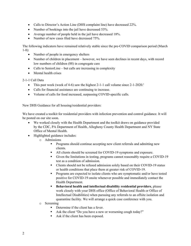- Calls to Director's Action Line (DHS complaint line) have decreased 22%.
- Number of bookings into the jail have decreased 53%.
- Average number of people held in the jail have decreased 18%.
- Number of new cases filed have decreased 75%.

The following indicators have remained relatively stable since the pre-COVID comparison period (March 1-8):

- Number of people in emergency shelters
- Number of children in placement however, we have seen declines in recent days, with record low numbers of children (88) in congregate care
- Calls to SeniorLine but calls are increasing in complexity
- Mental health crises

### 2-1-1 Call Data

- This past week (week of 4-6) saw the highest 2-1-1 call volume since  $2-1-2020$ .<sup>t</sup>
- Calls for financial assistance are continuing to increase.
- Volume of calls for food increased, surpassing COVID-specific calls.

New DHS Guidance for all housing/residential providers:

We have created a toolkit for residential providers with infection prevention and control guidance. It will be posted on our site soon.

- We worked closely with the Health Department and the toolkit draws on guidance provided by the CDC, PA Department of Health, Allegheny County Health Department and NY State Office of Mental Health.
- Highlighted guidance includes:
	- o Admissions
		- **Programs should continue accepting new client referrals and admitting new** clients.
		- All clients should be screened for COVID-19 symptoms and exposure.
		- Given the limitations in testing, programs cannot reasonably require a COVID-19 test as a condition of admission.
		- Clients should not be refused admission solely based on their COVID-19 status or health conditions that place them at greater risk of COVID-19.
		- **Programs are expected to isolate clients who are symptomatic and/or have tested** positive for COVID-19 onsite whenever possible and immediately contact the Health Department.
		- **Behavioral health and intellectual disability residential providers**, please work closely with your DHS office (Office of Behavioral Health or Office of Intellectual Disabilities) when pursuing any referrals to an offsite isolation and quarantine facility. We will arrange a quick case conference with you.
	- o Screening
		- Determine if the client has a fever.
		- Ask the client "Do you have a new or worsening cough today?"
		- Ask if the client has been exposed.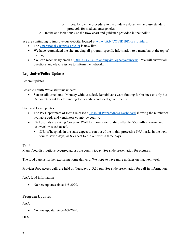- o If yes, follow the procedure in the guidance document and use standard protocols for medical emergencies.
- o Intake and isolation: Use the flow chart and guidance provided in the toolkit.

We are continuing to improve our website, located at [www.bit.ly/COVID19DHSProviders.](http://www.bit.ly/COVID19DHSProviders)

- The [Operational Changes Tracker](https://tableau.alleghenycounty.us/t/PublicSite/views/AlleghenyCountyHumanServicesOperationalChangesTracker/LandingPage?iframeSizedToWindow=true&%3Aembed=y&%3AshowAppBanner=false&%3Adisplay_count=no&%3AshowVizHome=no&%3Aorigin=viz_share_link#1) is now live.
- We have reorganized the site, moving all program-specific information to a menu bar at the top of the page.
- You can reach us by email at [DHS-COVID19planning@alleghenycounty.us.](mailto:DHS-COVID19planning@alleghenycounty.us) We will answer all questions and elevate issues to inform the network.

## **Legislative/Policy Updates**

#### Federal updates

.

Possible Fourth Wave stimulus update:

• Senate adjourned until Monday without a deal. Republicans want funding for businesses only but Democrats want to add funding for hospitals and local governments.

State and local updates

- The PA Department of Heath released a [Hospital Preparedness Dashboard](https://www.arcgis.com/apps/opsdashboard/index.html#/85054b06472e4208b02285b8557f24cf) showing the number of available beds and ventilators county by county.
- PA hospitals are asking Governor Wolf for more state funding after the \$50 million earmarked last week was exhausted.
	- 85% of hospitals in the state expect to run out of the highly protective N95 masks in the next four to seven days; 41% expect to run out within three days.

### **Food**

Many food distributions occurred across the county today. See slide presentation for pictures.

The food bank is further exploring home delivery. We hope to have more updates on that next week.

Provider food access calls are held on Tuesdays at 3:30 pm. See slide presentation for call-in information.

#### AAA food information

• No new updates since 4-6-2020.

### **Program Updates**

AAA

• No new updates since 4-9-2020.

### OCS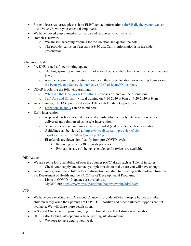- For childcare resources, please share ELRC contact information ( $\text{elrc5}(a)$ alleghenycounty.us or 412-350-3577) with your essential employees.
- We have moved employment information and resources to our [website.](https://bit.ly/COVID19DHSProviders)
- Homeless network
	- o We are still accepting referrals for the isolation and quarantine hotel.
	- o The provider call is on Tuesdays at 9:30 am. Call-in information is in the slide presentation.

### Behavioral Health

- PA DHS issued a fingerprinting update.
	- o The fingerprinting requirement is not waived because there has been no change to federal laws.
	- o Anyone needing fingerprinting should call the closest location for operating hours or see the [Pennsylvania Statewide interactive MAP of IdentGO](https://gcc01.safelinks.protection.outlook.com/?url=https%3A%2F%2Fpaproviders.us15.list-manage.com%2Ftrack%2Fclick%3Fu%3Df289fcffa5c7ce149542b94fa%26id%3Dae95c6a83e%26e%3D42f6041ad7&data=02%7C01%7Cdenise.macerelli%40alleghenycounty.us%7Ccf9c177e6f97466a692d08d7dd5700f0%7Ce0273d12e4cb4eb19f708bba16fb968d%7C0%7C0%7C637221238055777126&sdata=W0xpsocUHOW5J7w3PzXGR2AHiTFEVfdHq5olOm8aAR0%3D&reserved=0) [locations.](https://gcc01.safelinks.protection.outlook.com/?url=https%3A%2F%2Fpaproviders.us15.list-manage.com%2Ftrack%2Fclick%3Fu%3Df289fcffa5c7ce149542b94fa%26id%3Dae95c6a83e%26e%3D42f6041ad7&data=02%7C01%7Cdenise.macerelli%40alleghenycounty.us%7Ccf9c177e6f97466a692d08d7dd5700f0%7Ce0273d12e4cb4eb19f708bba16fb968d%7C0%7C0%7C637221238055777126&sdata=W0xpsocUHOW5J7w3PzXGR2AHiTFEVfdHq5olOm8aAR0%3D&reserved=0)
- DDAP is offering the following trainings:
	- o [When All that Changes is Everything](https://www.ddap.pa.gov/Documents/Training/When%20All%20That%20Changes%20is%20Everything%20Announcement.pdf) a series of three online discussions
	- o Self-Care [and Empathy](https://www.ddap.pa.gov/Documents/Training/Self-Care%20Announcement.pdf) virtual training on 4-14-2020 at 9am or 4-20-2020 at 9 am
- As a reminder, The FCC published a new Telehealth Funding Opportunity.
	- o [Directions to apply](https://docs.fcc.gov/public/attachments/FCC-20-44A1.pdf%3c) can be found here.
- Early intervention
	- o Approval has been granted to expand all infant/toddler early intervention services delivered and reimbursed using tele-intervention.
	- o Social work and nursing may now be provided (and billed) via tele-intervention.
	- o Guidelines can be viewed at [https://www.dhs.pa.gov/providers/Quick-](https://www.dhs.pa.gov/providers/Quick-Tips/Documents/PROMISeQuickTip242.pdf)[Tips/Documents/PROMISeQuickTip242.pdf.](https://www.dhs.pa.gov/providers/Quick-Tips/Documents/PROMISeQuickTip242.pdf)
	- o EI referrals are down significantly from pre-COVID levels.
		- Receiving only 20-30 referrals per week.
		- Evaluations are still being scheduled and services are available.

### OID/Autism

- We are seeing low availability of over the counter (OTC) drugs such as Tylenol in stores.
	- o Check your supply and contact your pharmacist to make sure you will have enough.
- As a reminder, continue to follow local information and directives, along with guidance from the PA Department of Health and the PA Office of Developmental Programs.
	- o Links to COVID-19 updates are available at MyODP.org [https://www.myodp.org/mod/page/view.php?id=26808.](https://gcc01.safelinks.protection.outlook.com/?url=https%3A%2F%2Fwww.myodp.org%2Fmod%2Fpage%2Fview.php%3Fid%3D26808&data=02%7C01%7Cmarian.tresky%40ALLEGHENYCOUNTY.US%7C5eb839c0b96140b6ba0208d7cccb72bc%7Ce0273d12e4cb4eb19f708bba16fb968d%7C0%7C0%7C637203046490297963&sdata=3Vnl0Uojgvy3bXfsnPBUxE%2B94mYuiYbm6xlgLw0TAhE%3D&reserved=0)

### CYF

- We have been working with A Second Chance Inc. to identify/train respite homes to shelter children safely when their parents are COVID-19 positive and other childcare supports are not available. We will share more details soon.
- A Second Chance is still providing fingerprinting at their Frankstown Ave. location.
- DHS is also looking into opening a fingerprinting site downtown.
	- o We hope to have details next week.